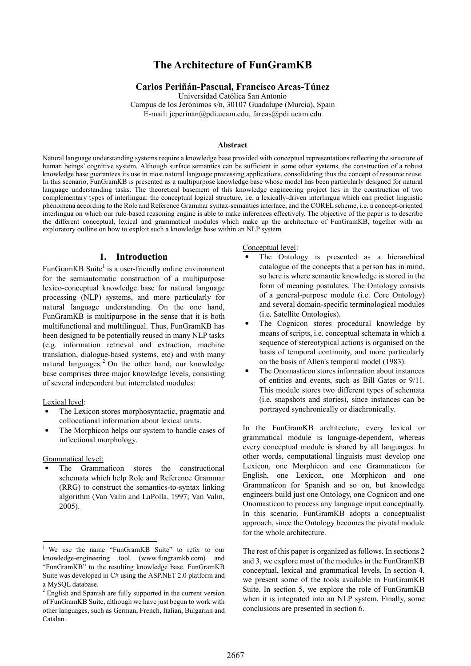# The Architecture of FunGramKB

#### Carlos Periñán-Pascual, Francisco Arcas-Túnez

Universidad Católica San Antonio

Campus de los Jerónimos s/n, 30107 Guadalupe (Murcia), Spain E-mail: jcperinan@pdi.ucam.edu, farcas@pdi.ucam.edu

#### Abstract

Natural language understanding systems require a knowledge base provided with conceptual representations reflecting the structure of human beings' cognitive system. Although surface semantics can be sufficient in some other systems, the construction of a robust knowledge base guarantees its use in most natural language processing applications, consolidating thus the concept of resource reuse. In this scenario, FunGramKB is presented as a multipurpose knowledge base whose model has been particularly designed for natural language understanding tasks. The theoretical basement of this knowledge engineering project lies in the construction of two complementary types of interlingua: the conceptual logical structure, i.e. a lexically-driven interlingua which can predict linguistic phenomena according to the Role and Reference Grammar syntax-semantics interface, and the COREL scheme, i.e. a concept-oriented interlingua on which our rule-based reasoning engine is able to make inferences effectively. The objective of the paper is to describe the different conceptual, lexical and grammatical modules which make up the architecture of FunGramKB, together with an exploratory outline on how to exploit such a knowledge base within an NLP system.

# 1. Introduction

FunGramKB Suite<sup>1</sup> is a user-friendly online environment for the semiautomatic construction of a multipurpose lexico-conceptual knowledge base for natural language processing (NLP) systems, and more particularly for natural language understanding. On the one hand, FunGramKB is multipurpose in the sense that it is both multifunctional and multilingual. Thus, FunGramKB has been designed to be potentially reused in many NLP tasks (e.g. information retrieval and extraction, machine translation, dialogue-based systems, etc) and with many natural languages.<sup>2</sup> On the other hand, our knowledge base comprises three major knowledge levels, consisting of several independent but interrelated modules:

Lexical level:

- The Lexicon stores morphosyntactic, pragmatic and collocational information about lexical units.
- The Morphicon helps our system to handle cases of inflectional morphology.

Grammatical level:

-

The Grammaticon stores the constructional schemata which help Role and Reference Grammar (RRG) to construct the semantics-to-syntax linking algorithm (Van Valin and LaPolla, 1997; Van Valin, 2005).

Conceptual level:

- The Ontology is presented as a hierarchical catalogue of the concepts that a person has in mind, so here is where semantic knowledge is stored in the form of meaning postulates. The Ontology consists of a general-purpose module (i.e. Core Ontology) and several domain-specific terminological modules (i.e. Satellite Ontologies).
- The Cognicon stores procedural knowledge by means of scripts, i.e. conceptual schemata in which a sequence of stereotypical actions is organised on the basis of temporal continuity, and more particularly on the basis of Allen's temporal model (1983).
- The Onomasticon stores information about instances of entities and events, such as Bill Gates or 9/11. This module stores two different types of schemata (i.e. snapshots and stories), since instances can be portrayed synchronically or diachronically.

In the FunGramKB architecture, every lexical or grammatical module is language-dependent, whereas every conceptual module is shared by all languages. In other words, computational linguists must develop one Lexicon, one Morphicon and one Grammaticon for English, one Lexicon, one Morphicon and one Grammaticon for Spanish and so on, but knowledge engineers build just one Ontology, one Cognicon and one Onomasticon to process any language input conceptually. In this scenario, FunGramKB adopts a conceptualist approach, since the Ontology becomes the pivotal module for the whole architecture.

The rest of this paper is organized as follows. In sections 2 and 3, we explore most of the modules in the FunGramKB conceptual, lexical and grammatical levels. In section 4, we present some of the tools available in FunGramKB Suite. In section 5, we explore the role of FunGramKB when it is integrated into an NLP system. Finally, some conclusions are presented in section 6.

<sup>&</sup>lt;sup>1</sup> We use the name "FunGramKB Suite" to refer to our knowledge-engineering tool (www.fungramkb.com) and "FunGramKB" to the resulting knowledge base. FunGramKB Suite was developed in C# using the ASP.NET 2.0 platform and a MySQL database.

<sup>&</sup>lt;sup>2</sup> English and Spanish are fully supported in the current version of FunGramKB Suite, although we have just begun to work with other languages, such as German, French, Italian, Bulgarian and Catalan.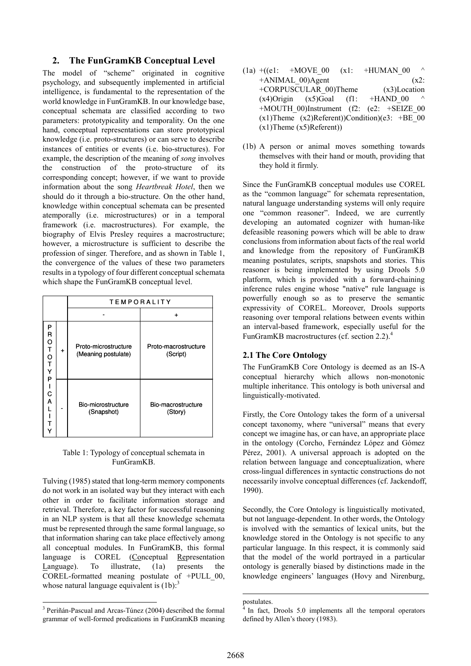# 2. The FunGramKB Conceptual Level

The model of "scheme" originated in cognitive psychology, and subsequently implemented in artificial intelligence, is fundamental to the representation of the world knowledge in FunGramKB. In our knowledge base, conceptual schemata are classified according to two parameters: prototypicality and temporality. On the one hand, conceptual representations can store prototypical knowledge (i.e. proto-structures) or can serve to describe instances of entities or events (i.e. bio-structures). For example, the description of the meaning of song involves the construction of the proto-structure of its corresponding concept; however, if we want to provide information about the song Heartbreak Hotel, then we should do it through a bio-structure. On the other hand, knowledge within conceptual schemata can be presented atemporally (i.e. microstructures) or in a temporal framework (i.e. macrostructures). For example, the biography of Elvis Presley requires a macrostructure; however, a microstructure is sufficient to describe the profession of singer. Therefore, and as shown in Table 1, the convergence of the values of these two parameters results in a typology of four different conceptual schemata which shape the FunGramKB conceptual level.

|                                                |   | <b>TEMPORALITY</b>                          |                                  |  |
|------------------------------------------------|---|---------------------------------------------|----------------------------------|--|
|                                                |   |                                             | ٠                                |  |
| P<br>R<br>O<br>T<br>O<br>T<br>Y<br>P<br>C<br>A | ٠ | Proto-microstructure<br>(Meaning postulate) | Proto-macrostructure<br>(Script) |  |
|                                                |   | Bio-microstructure<br>(Snapshot)            | Bio-macrostructure<br>(Story)    |  |

Table 1: Typology of conceptual schemata in FunGramKB.

Tulving (1985) stated that long-term memory components do not work in an isolated way but they interact with each other in order to facilitate information storage and retrieval. Therefore, a key factor for successful reasoning in an NLP system is that all these knowledge schemata must be represented through the same formal language, so that information sharing can take place effectively among all conceptual modules. In FunGramKB, this formal language is COREL (Conceptual Representation Language). To illustrate, (1a) presents the COREL-formatted meaning postulate of  $+PULL$  00, whose natural language equivalent is  $(1b)$ :<sup>3</sup>

- $(1a)$  +((e1: +MOVE 00  $(x1:$  +HUMAN 00  $+A$ NIMAL 00)Agent (x2: +CORPUSCULAR\_00)Theme (x3)Location  $(x4)$ Origin  $(x5)$ Goal  $(f1: +HAND 00)$  $+$ MOUTH\_00)Instrument (f2: (e2:  $+$ SEIZE\_00  $(x1)$ Theme  $(x2)$ Referent))Condition)(e3: +BE 00 (x1)Theme (x5)Referent))
- (1b) A person or animal moves something towards themselves with their hand or mouth, providing that they hold it firmly.

Since the FunGramKB conceptual modules use COREL as the "common language" for schemata representation, natural language understanding systems will only require one "common reasoner". Indeed, we are currently developing an automated cognizer with human-like defeasible reasoning powers which will be able to draw conclusions from information about facts of the real world and knowledge from the repository of FunGramKB meaning postulates, scripts, snapshots and stories. This reasoner is being implemented by using Drools 5.0 platform, which is provided with a forward-chaining inference rules engine whose "native" rule language is powerfully enough so as to preserve the semantic expressivity of COREL. Moreover, Drools supports reasoning over temporal relations between events within an interval-based framework, especially useful for the FunGramKB macrostructures (cf. section 2.2).<sup>4</sup>

# 2.1 The Core Ontology

The FunGramKB Core Ontology is deemed as an IS-A conceptual hierarchy which allows non-monotonic multiple inheritance. This ontology is both universal and linguistically-motivated.

Firstly, the Core Ontology takes the form of a universal concept taxonomy, where "universal" means that every concept we imagine has, or can have, an appropriate place in the ontology (Corcho, Fernández López and Gómez Pérez, 2001). A universal approach is adopted on the relation between language and conceptualization, where cross-lingual differences in syntactic constructions do not necessarily involve conceptual differences (cf. Jackendoff, 1990).

Secondly, the Core Ontology is linguistically motivated, but not language-dependent. In other words, the Ontology is involved with the semantics of lexical units, but the knowledge stored in the Ontology is not specific to any particular language. In this respect, it is commonly said that the model of the world portrayed in a particular ontology is generally biased by distinctions made in the knowledge engineers' languages (Hovy and Nirenburg,

-

 3 Periñán-Pascual and Arcas-Túnez (2004) described the formal grammar of well-formed predications in FunGramKB meaning

postulates.<br><sup>4</sup> In fact 1

In fact, Drools 5.0 implements all the temporal operators defined by Allen's theory (1983).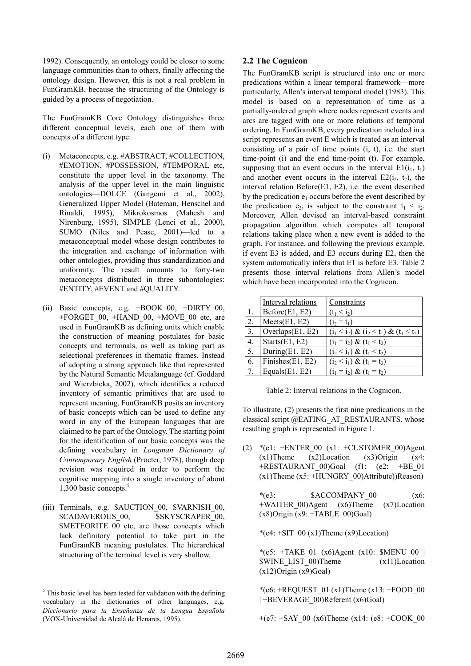1992). Consequently, an ontology could be closer to some language communities than to others, finally affecting the ontology design. However, this is not a real problem in FunGramKB, because the structuring of the Ontology is guided by a process of negotiation.

The FunGramKB Core Ontology distinguishes three different conceptual levels, each one of them with concepts of a different type:

- (i) Metaconcepts, e.g. #ABSTRACT, #COLLECTION, #EMOTION, #POSSESSION, #TEMPORAL etc, constitute the upper level in the taxonomy. The analysis of the upper level in the main linguistic ontologies—DOLCE (Gangemi et al., 2002), Generalized Upper Model (Bateman, Henschel and Rinaldi, 1995), Mikrokosmos (Mahesh and Nirenburg, 1995), SIMPLE (Lenci et al., 2000), SUMO (Niles and Pease, 2001)—led to a metaconceptual model whose design contributes to the integration and exchange of information with other ontologies, providing thus standardization and uniformity. The result amounts to forty-two metaconcepts distributed in three subontologies: #ENTITY, #EVENT and #QUALITY.
- (ii) Basic concepts, e.g.  $+$ BOOK 00,  $+$ DIRTY 00,  $+$ FORGET 00,  $+$ HAND 00,  $+$ MOVE 00 etc, are used in FunGramKB as defining units which enable the construction of meaning postulates for basic concepts and terminals, as well as taking part as selectional preferences in thematic frames. Instead of adopting a strong approach like that represented by the Natural Semantic Metalanguage (cf. Goddard and Wierzbicka, 2002), which identifies a reduced inventory of semantic primitives that are used to represent meaning, FunGramKB posits an inventory of basic concepts which can be used to define any word in any of the European languages that are claimed to be part of the Ontology. The starting point for the identification of our basic concepts was the defining vocabulary in Longman Dictionary of Contemporary English (Procter, 1978), though deep revision was required in order to perform the cognitive mapping into a single inventory of about 1,300 basic concepts.<sup>5</sup>
- (iii) Terminals, e.g. \$AUCTION\_00, \$VARNISH\_00, \$CADAVEROUS 00, \$SKYSCRAPER 00, \$METEORITE\_00\_etc, are those concepts which lack definitory potential to take part in the FunGramKB meaning postulates. The hierarchical structuring of the terminal level is very shallow.

l

### 2.2 The Cognicon

The FunGramKB script is structured into one or more predications within a linear temporal framework—more particularly, Allen's interval temporal model (1983). This model is based on a representation of time as a partially-ordered graph where nodes represent events and arcs are tagged with one or more relations of temporal ordering. In FunGramKB, every predication included in a script represents an event E which is treated as an interval consisting of a pair of time points (i, t), i.e. the start time-point (i) and the end time-point (t). For example, supposing that an event occurs in the interval  $E1(i_1, t_1)$ and another event occurs in the interval  $E_2(i_2, t_2)$ , the interval relation Before(E1, E2), i.e. the event described by the predication  $e_1$  occurs before the event described by the predication  $e_2$ , is subject to the constraint  $t_1 \le i_2$ . Moreover, Allen devised an interval-based constraint propagation algorithm which computes all temporal relations taking place when a new event is added to the graph. For instance, and following the previous example, if event E3 is added, and E3 occurs during E2, then the system automatically infers that E1 is before E3. Table 2 presents those interval relations from Allen's model which have been incorporated into the Cognicon.

|                  | Interval relations  | Constraints                                 |
|------------------|---------------------|---------------------------------------------|
| $\pm 1$ .        | Before(E1, E2)      | $(t_1 < i_2)$                               |
| 2.               | Meets(E1, E2)       | $(i_2 = t_1)$                               |
| 3.               | Overlaps $(E1, E2)$ | $(i_1 < i_2) \& (i_2 < t_1) \& (t_1 < t_2)$ |
| $\overline{4}$ . | Starts(E1, E2)      | $(i_1 = i_2) \& (t_1 < t_2)$                |
| 5.               | During $(E1, E2)$   | $(i_2 < i_1)$ & $(t_1 < t_2)$               |
| 6.               | Finishes $(E1, E2)$ | $(i_2 < i_1) \& (t_1 = t_2)$                |
| $\tau$           | Equals $(E1, E2)$   | $(i_1 = i_2) \& (t_1 = t_2)$                |

Table 2: Interval relations in the Cognicon.

To illustrate, (2) presents the first nine predications in the classical script @EATING\_AT\_RESTAURANTS, whose resulting graph is represented in Figure 1.

(2)  $*(e1: +ENTER\ 00 \ (x1: +CUSTOMER\ 00)Agent$  $(x1)$ Theme  $(x2)$ Location  $(x3)$ Origin  $(x4)$ :  $+$ RESTAURANT 00)Goal (f1: (e2:  $+$ BE 01  $(x1)$ Theme  $(x5: +HUNGRY_00)$ Attribute))Reason)

 $*(e3:$  \$ACCOMPANY 00  $(x6:$ +WAITER\_00)Agent (x6)Theme (x7)Location  $(x8)$ Origin  $(x9: +TABLE_00)Goal$ 

\*(e4:  $+$ SIT\_00 (x1)Theme (x9)Location)

\*(e5: +TAKE\_01 (x6)Agent (x10: \$MENU\_00 | \$WINE\_LIST\_00)Theme (x11)Location  $(x12)$ Origin  $(x9)$ Goal)

\*(e6: +REQUEST\_01 (x1)Theme (x13: +FOOD\_00 | +BEVERAGE\_00)Referent (x6)Goal)

 $+(e7: +SAY~00 (x6)$ Theme (x14: (e8:  $+COOK~00$ 

 $<sup>5</sup>$  This basic level has been tested for validation with the defining</sup> vocabulary in the dictionaries of other languages, e.g. Diccionario para la Enseñanza de la Lengua Española (VOX-Universidad de Alcalá de Henares, 1995).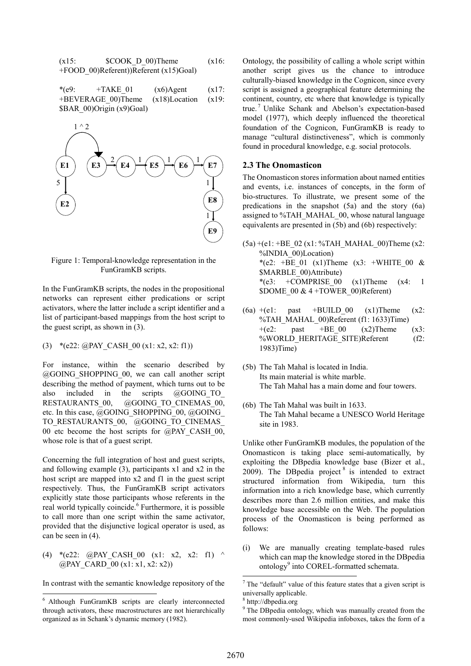$$
(x15: $COOK_D_00) \text{There} \qquad (x16: +FOOD_00) \text{Referent} \qquad (x15)
$$

\*(e9:  $+TAKE$  01 (x6)Agent (x17: +BEVERAGE\_00)Theme (x18)Location (x19: \$BAR\_00)Origin (x9)Goal)



Figure 1: Temporal-knowledge representation in the FunGramKB scripts.

In the FunGramKB scripts, the nodes in the propositional networks can represent either predications or script activators, where the latter include a script identifier and a list of participant-based mappings from the host script to the guest script, as shown in (3).

(3) \*(e22:  $@$ PAY\_CASH\_00 (x1: x2, x2: f1))

For instance, within the scenario described by @GOING\_SHOPPING\_00, we can call another script describing the method of payment, which turns out to be also included in the scripts @GOING\_TO\_ RESTAURANTS 00, @GOING TO CINEMAS 00, etc. In this case, @GOING\_SHOPPING\_00, @GOING\_ TO\_RESTAURANTS\_00, @GOING\_TO\_CINEMAS\_ 00 etc become the host scripts for @PAY\_CASH\_00, whose role is that of a guest script.

Concerning the full integration of host and guest scripts, and following example (3), participants x1 and x2 in the host script are mapped into x2 and f1 in the guest script respectively. Thus, the FunGramKB script activators explicitly state those participants whose referents in the real world typically coincide.<sup>6</sup> Furthermore, it is possible to call more than one script within the same activator, provided that the disjunctive logical operator is used, as can be seen in (4).

(4) \*(e22: @PAY\_CASH\_00 (x1: x2, x2: f1) ^ @PAY\_CARD\_00 (x1: x1, x2: x2))

In contrast with the semantic knowledge repository of the

Ontology, the possibility of calling a whole script within another script gives us the chance to introduce culturally-biased knowledge in the Cognicon, since every script is assigned a geographical feature determining the continent, country, etc where that knowledge is typically true.<sup>7</sup> Unlike Schank and Abelson's expectation-based model (1977), which deeply influenced the theoretical foundation of the Cognicon, FunGramKB is ready to manage "cultural distinctiveness", which is commonly found in procedural knowledge, e.g. social protocols.

### 2.3 The Onomasticon

The Onomasticon stores information about named entities and events, i.e. instances of concepts, in the form of bio-structures. To illustrate, we present some of the predications in the snapshot (5a) and the story (6a) assigned to %TAH\_MAHAL\_00, whose natural language equivalents are presented in (5b) and (6b) respectively:

- $(5a) + (e1: +BE_02(x1: %TAHMAHAL_00)$ Theme (x2: %INDIA\_00)Location) \*(e2: +BE\_01 (x1)Theme (x3: +WHITE\_00 & \$MARBLE\_00)Attribute) \*(e3:  $+COMPRISE$  00 (x1)Theme (x4: 1) \$DOME\_00 & 4 +TOWER\_00)Referent)
- $(6a) + (e1)$ : past +BUILD 00 (x1)Theme (x2: %TAH\_MAHAL\_00)Referent (f1: 1633)Time)  $+(e2:$  past  $+BE_00$   $(x2)$ Theme  $(x3:$ %WORLD\_HERITAGE\_SITE)Referent (f2: 1983)Time)
- (5b) The Tah Mahal is located in India. Its main material is white marble. The Tah Mahal has a main dome and four towers.
- (6b) The Tah Mahal was built in 1633. The Tah Mahal became a UNESCO World Heritage site in 1983.

Unlike other FunGramKB modules, the population of the Onomasticon is taking place semi-automatically, by exploiting the DBpedia knowledge base (Bizer et al., 2009). The DBpedia project  $8$  is intended to extract structured information from Wikipedia, turn this information into a rich knowledge base, which currently describes more than 2.6 million entities, and make this knowledge base accessible on the Web. The population process of the Onomasticon is being performed as follows:

(i) We are manually creating template-based rules which can map the knowledge stored in the DBpedia ontology<sup>9</sup> into COREL-formatted schemata.

 6 Although FunGramKB scripts are clearly interconnected through activators, these macrostructures are not hierarchically organized as in Schank's dynamic memory (1982).

 7 The "default" value of this feature states that a given script is universally applicable.

<sup>8</sup> http://dbpedia.org

<sup>&</sup>lt;sup>9</sup> The DBpedia ontology, which was manually created from the most commonly-used Wikipedia infoboxes, takes the form of a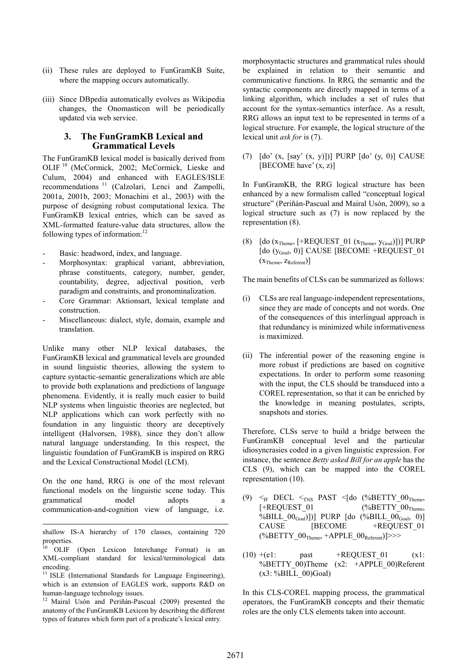- (ii) These rules are deployed to FunGramKB Suite, where the mapping occurs automatically.
- (iii) Since DBpedia automatically evolves as Wikipedia changes, the Onomasticon will be periodically updated via web service.

#### 3. The FunGramKB Lexical and Grammatical Levels

The FunGramKB lexical model is basically derived from OLIF <sup>10</sup> (McCormick, 2002; McCormick, Lieske and Culum, 2004) and enhanced with EAGLES/ISLE recommendations<sup>11</sup> (Calzolari, Lenci and Zampolli, 2001a, 2001b, 2003; Monachini et al., 2003) with the purpose of designing robust computational lexica. The FunGramKB lexical entries, which can be saved as XML-formatted feature-value data structures, allow the following types of information:<sup>12</sup>

- Basic: headword, index, and language.
- Morphosyntax: graphical variant, abbreviation, phrase constituents, category, number, gender, countability, degree, adjectival position, verb paradigm and constraints, and pronominalization.
- Core Grammar: Aktionsart, lexical template and construction.
- Miscellaneous: dialect, style, domain, example and translation.

Unlike many other NLP lexical databases, the FunGramKB lexical and grammatical levels are grounded in sound linguistic theories, allowing the system to capture syntactic-semantic generalizations which are able to provide both explanations and predictions of language phenomena. Evidently, it is really much easier to build NLP systems when linguistic theories are neglected, but NLP applications which can work perfectly with no foundation in any linguistic theory are deceptively intelligent (Halvorsen, 1988), since they don't allow natural language understanding. In this respect, the linguistic foundation of FunGramKB is inspired on RRG and the Lexical Constructional Model (LCM).

On the one hand, RRG is one of the most relevant functional models on the linguistic scene today. This grammatical model adopts a communication-and-cognition view of language, i.e.

-

<sup>11</sup> ISLE (International Standards for Language Engineering), which is an extension of EAGLES work, supports R&D on human-language technology issues.

<sup>12</sup> Mairal Usón and Periñán-Pascual (2009) presented the anatomy of the FunGramKB Lexicon by describing the different types of features which form part of a predicate's lexical entry.

morphosyntactic structures and grammatical rules should be explained in relation to their semantic and communicative functions. In RRG, the semantic and the syntactic components are directly mapped in terms of a linking algorithm, which includes a set of rules that account for the syntax-semantics interface. As a result, RRG allows an input text to be represented in terms of a logical structure. For example, the logical structure of the lexical unit ask for is (7).

(7)  $\lceil \text{do'}(x, \lceil \text{say'}(x, y) \rceil) \rceil$  PURP  $\lceil \text{do'}(y, 0) \rceil$  CAUSE [BECOME have'  $(x, z)$ ]

In FunGramKB, the RRG logical structure has been enhanced by a new formalism called "conceptual logical structure" (Periñán-Pascual and Mairal Usón, 2009), so a logical structure such as (7) is now replaced by the representation (8).

(8)  $[do (x_{Theme}, [+REQUEST_01 (x_{Theme}, y_{Goal})])] PURP$ [do (y<sub>Goal</sub>, 0)] CAUSE [BECOME +REQUEST 01  $(x<sub>Theme</sub>, z<sub>Referent</sub>)$ 

The main benefits of CLSs can be summarized as follows:

- (i) CLSs are real language-independent representations, since they are made of concepts and not words. One of the consequences of this interlingual approach is that redundancy is minimized while informativeness is maximized.
- (ii) The inferential power of the reasoning engine is more robust if predictions are based on cognitive expectations. In order to perform some reasoning with the input, the CLS should be transduced into a COREL representation, so that it can be enriched by the knowledge in meaning postulates, scripts, snapshots and stories.

Therefore, CLSs serve to build a bridge between the FunGramKB conceptual level and the particular idiosyncrasies coded in a given linguistic expression. For instance, the sentence Betty asked Bill for an apple has the CLS (9), which can be mapped into the COREL representation (10).

- (9)  $\leq_{\text{IF}}$  DECL  $\leq_{\text{INS}}$  PAST  $\leq$  [do (%BETTY 00<sub>Theme</sub>,  $[+REQUEST\ 01$  (%BETTY 00<sub>Theme</sub>, %BILL  $00_{Goal}$ ])] PURP [do (%BILL  $00_{Goal}$ , 0)] CAUSE [BECOME +REQUEST\_01  $(*BETTY_00<sub>Thene</sub>, +APPLE_00<sub>Referent</sub>)]>>$
- $(10) + (e1: \text{past} + \text{REQUEST 01} \text{ (x1:}$ %BETTY\_00)Theme (x2: +APPLE\_00)Referent  $(x3: %BILL 00)Goal)$

In this CLS-COREL mapping process, the grammatical operators, the FunGramKB concepts and their thematic roles are the only CLS elements taken into account.

shallow IS-A hierarchy of 170 classes, containing 720 properties.

<sup>10</sup> OLIF (Open Lexicon Interchange Format) is an XML-compliant standard for lexical/terminological data encoding.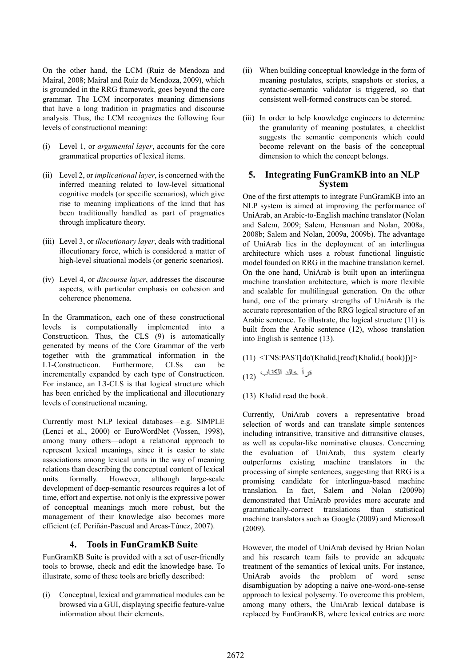On the other hand, the LCM (Ruiz de Mendoza and Mairal, 2008; Mairal and Ruiz de Mendoza, 2009), which is grounded in the RRG framework, goes beyond the core grammar. The LCM incorporates meaning dimensions that have a long tradition in pragmatics and discourse analysis. Thus, the LCM recognizes the following four levels of constructional meaning:

- (i) Level 1, or argumental layer, accounts for the core grammatical properties of lexical items.
- (ii) Level 2, or implicational layer, is concerned with the inferred meaning related to low-level situational cognitive models (or specific scenarios), which give rise to meaning implications of the kind that has been traditionally handled as part of pragmatics through implicature theory.
- (iii) Level 3, or *illocutionary layer*, deals with traditional illocutionary force, which is considered a matter of high-level situational models (or generic scenarios).
- (iv) Level 4, or discourse layer, addresses the discourse aspects, with particular emphasis on cohesion and coherence phenomena.

In the Grammaticon, each one of these constructional levels is computationally implemented into a Constructicon. Thus, the CLS (9) is automatically generated by means of the Core Grammar of the verb together with the grammatical information in the L1-Constructicon. Furthermore, CLSs can be incrementally expanded by each type of Constructicon. For instance, an L3-CLS is that logical structure which has been enriched by the implicational and illocutionary levels of constructional meaning.

Currently most NLP lexical databases—e.g. SIMPLE (Lenci et al., 2000) or EuroWordNet (Vossen, 1998), among many others—adopt a relational approach to represent lexical meanings, since it is easier to state associations among lexical units in the way of meaning relations than describing the conceptual content of lexical units formally. However, although large-scale development of deep-semantic resources requires a lot of time, effort and expertise, not only is the expressive power of conceptual meanings much more robust, but the management of their knowledge also becomes more efficient (cf. Periñán-Pascual and Arcas-Túnez, 2007).

#### 4. Tools in FunGramKB Suite

FunGramKB Suite is provided with a set of user-friendly tools to browse, check and edit the knowledge base. To illustrate, some of these tools are briefly described:

(i) Conceptual, lexical and grammatical modules can be browsed via a GUI, displaying specific feature-value information about their elements.

- (ii) When building conceptual knowledge in the form of meaning postulates, scripts, snapshots or stories, a syntactic-semantic validator is triggered, so that consistent well-formed constructs can be stored.
- (iii) In order to help knowledge engineers to determine the granularity of meaning postulates, a checklist suggests the semantic components which could become relevant on the basis of the conceptual dimension to which the concept belongs.

# 5. Integrating FunGramKB into an NLP System

One of the first attempts to integrate FunGramKB into an NLP system is aimed at improving the performance of UniArab, an Arabic-to-English machine translator (Nolan and Salem, 2009; Salem, Hensman and Nolan, 2008a, 2008b; Salem and Nolan, 2009a, 2009b). The advantage of UniArab lies in the deployment of an interlingua architecture which uses a robust functional linguistic model founded on RRG in the machine translation kernel. On the one hand, UniArab is built upon an interlingua machine translation architecture, which is more flexible and scalable for multilingual generation. On the other hand, one of the primary strengths of UniArab is the accurate representation of the RRG logical structure of an Arabic sentence. To illustrate, the logical structure (11) is built from the Arabic sentence (12), whose translation into English is sentence (13).

- (11) <TNS:PAST[do'(Khalid,[read'(Khalid,( book)])]>
- قرأ خالد الكتاب (12)
- (13) Khalid read the book.

Currently, UniArab covers a representative broad selection of words and can translate simple sentences including intransitive, transitive and ditransitive clauses, as well as copular-like nominative clauses. Concerning the evaluation of UniArab, this system clearly outperforms existing machine translators in the processing of simple sentences, suggesting that RRG is a promising candidate for interlingua-based machine translation. In fact, Salem and Nolan (2009b) demonstrated that UniArab provides more accurate and grammatically-correct translations than statistical machine translators such as Google (2009) and Microsoft (2009).

However, the model of UniArab devised by Brian Nolan and his research team fails to provide an adequate treatment of the semantics of lexical units. For instance, UniArab avoids the problem of word sense disambiguation by adopting a naive one-word-one-sense approach to lexical polysemy. To overcome this problem, among many others, the UniArab lexical database is replaced by FunGramKB, where lexical entries are more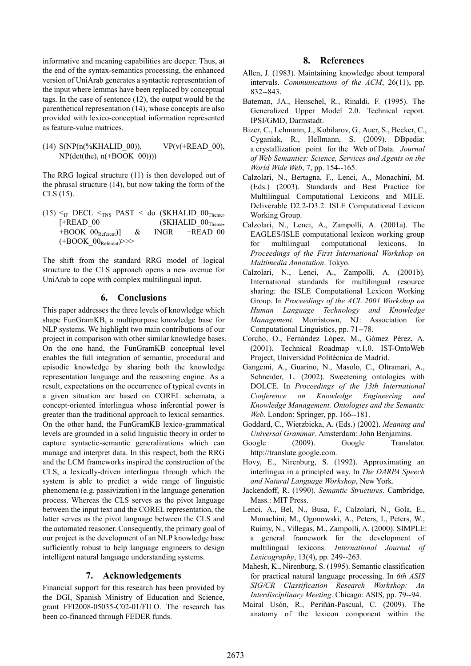informative and meaning capabilities are deeper. Thus, at the end of the syntax-semantics processing, the enhanced version of UniArab generates a syntactic representation of the input where lemmas have been replaced by conceptual tags. In the case of sentence (12), the output would be the parenthetical representation (14), whose concepts are also provided with lexico-conceptual information represented as feature-value matrices.

(14)  $S(NP(n(\%KHALID_00)))$ ,  $VP(v(\#READ_00))$  $NP(det(the), n(+BOOK 00))))$ 

The RRG logical structure (11) is then developed out of the phrasal structure (14), but now taking the form of the CLS (15).

(15)  $\leq$ <sub>IF</sub> DECL  $\leq$ <sub>TNS</sub> PAST  $\leq$  do (\$KHALID\_00<sub>Theme</sub>,  $[+READ_00$  (\$KHALID  $00<sub>Theme</sub>$ ,  $+$ BOOK\_00<sub>Referent</sub>)] & INGR +READ\_00  $(+$ BOOK  $00<sub>Referent</sub>)$ >>>

The shift from the standard RRG model of logical structure to the CLS approach opens a new avenue for UniArab to cope with complex multilingual input.

#### 6. Conclusions

This paper addresses the three levels of knowledge which shape FunGramKB, a multipurpose knowledge base for NLP systems. We highlight two main contributions of our project in comparison with other similar knowledge bases. On the one hand, the FunGramKB conceptual level enables the full integration of semantic, procedural and episodic knowledge by sharing both the knowledge representation language and the reasoning engine. As a result, expectations on the occurrence of typical events in a given situation are based on COREL schemata, a concept-oriented interlingua whose inferential power is greater than the traditional approach to lexical semantics. On the other hand, the FunGramKB lexico-grammatical levels are grounded in a solid linguistic theory in order to capture syntactic-semantic generalizations which can manage and interpret data. In this respect, both the RRG and the LCM frameworks inspired the construction of the CLS, a lexically-driven interlingua through which the system is able to predict a wide range of linguistic phenomena (e.g. passivization) in the language generation process. Whereas the CLS serves as the pivot language between the input text and the COREL representation, the latter serves as the pivot language between the CLS and the automated reasoner. Consequently, the primary goal of our project is the development of an NLP knowledge base sufficiently robust to help language engineers to design intelligent natural language understanding systems.

# 7. Acknowledgements

Financial support for this research has been provided by the DGI, Spanish Ministry of Education and Science, grant FFI2008-05035-C02-01/FILO. The research has been co-financed through FEDER funds.

#### 8. References

- Allen, J. (1983). Maintaining knowledge about temporal intervals. Communications of the ACM, 26(11), pp. 832--843.
- Bateman, JA., Henschel, R., Rinaldi, F. (1995). The Generalized Upper Model 2.0. Technical report. IPSI/GMD, Darmstadt.
- Bizer, C., Lehmann, J., Kobilarov, G., Auer, S., Becker, C., Cyganiak, R., Hellmann, S. (2009). DBpedia: a crystallization point for the Web of Data. Journal of Web Semantics: Science, Services and Agents on the World Wide Web, 7, pp. 154--165.
- Calzolari, N., Bertagna, F., Lenci, A., Monachini, M. (Eds.) (2003). Standards and Best Practice for Multilingual Computational Lexicons and MILE. Deliverable D2.2-D3.2. ISLE Computational Lexicon Working Group.
- Calzolari, N., Lenci, A., Zampolli, A. (2001a). The EAGLES/ISLE computational lexicon working group for multilingual computational lexicons. In Proceedings of the First International Workshop on Multimedia Annotation. Tokyo.
- Calzolari, N., Lenci, A., Zampolli, A. (2001b). International standards for multilingual resource sharing: the ISLE Computational Lexicon Working Group. In Proceedings of the ACL 2001 Workshop on Human Language Technology and Knowledge Management. Morristown, NJ: Association for Computational Linguistics, pp. 71--78.
- Corcho, O., Fernández López, M., Gómez Pérez, A. (2001). Technical Roadmap v.1.0. IST-OntoWeb Project, Universidad Politécnica de Madrid.
- Gangemi, A., Guarino, N., Masolo, C., Oltramari, A., Schneider, L. (2002). Sweetening ontologies with DOLCE. In Proceedings of the 13th International Conference on Knowledge Engineering and Knowledge Management. Ontologies and the Semantic Web. London: Springer, pp. 166--181.
- Goddard, C., Wierzbicka, A. (Eds.) (2002). Meaning and Universal Grammar. Amsterdam: John Benjamins.
- Google (2009). Google Translator. http://translate.google.com.
- Hovy, E., Nirenburg, S. (1992). Approximating an interlingua in a principled way. In The DARPA Speech and Natural Language Workshop, New York.
- Jackendoff, R. (1990). Semantic Structures. Cambridge, Mass.: MIT Press.
- Lenci, A., Bel, N., Busa, F., Calzolari, N., Gola, E., Monachini, M., Ogonowski, A., Peters, I., Peters, W., Ruimy, N., Villegas, M., Zampolli, A. (2000). SIMPLE: a general framework for the development of multilingual lexicons. International Journal of Lexicography, 13(4), pp. 249--263.
- Mahesh, K., Nirenburg, S. (1995). Semantic classification for practical natural language processing. In 6th ASIS SIG/CR Classification Research Workshop: An Interdisciplinary Meeting. Chicago: ASIS, pp. 79--94.
- Mairal Usón, R., Periñán-Pascual, C. (2009). The anatomy of the lexicon component within the